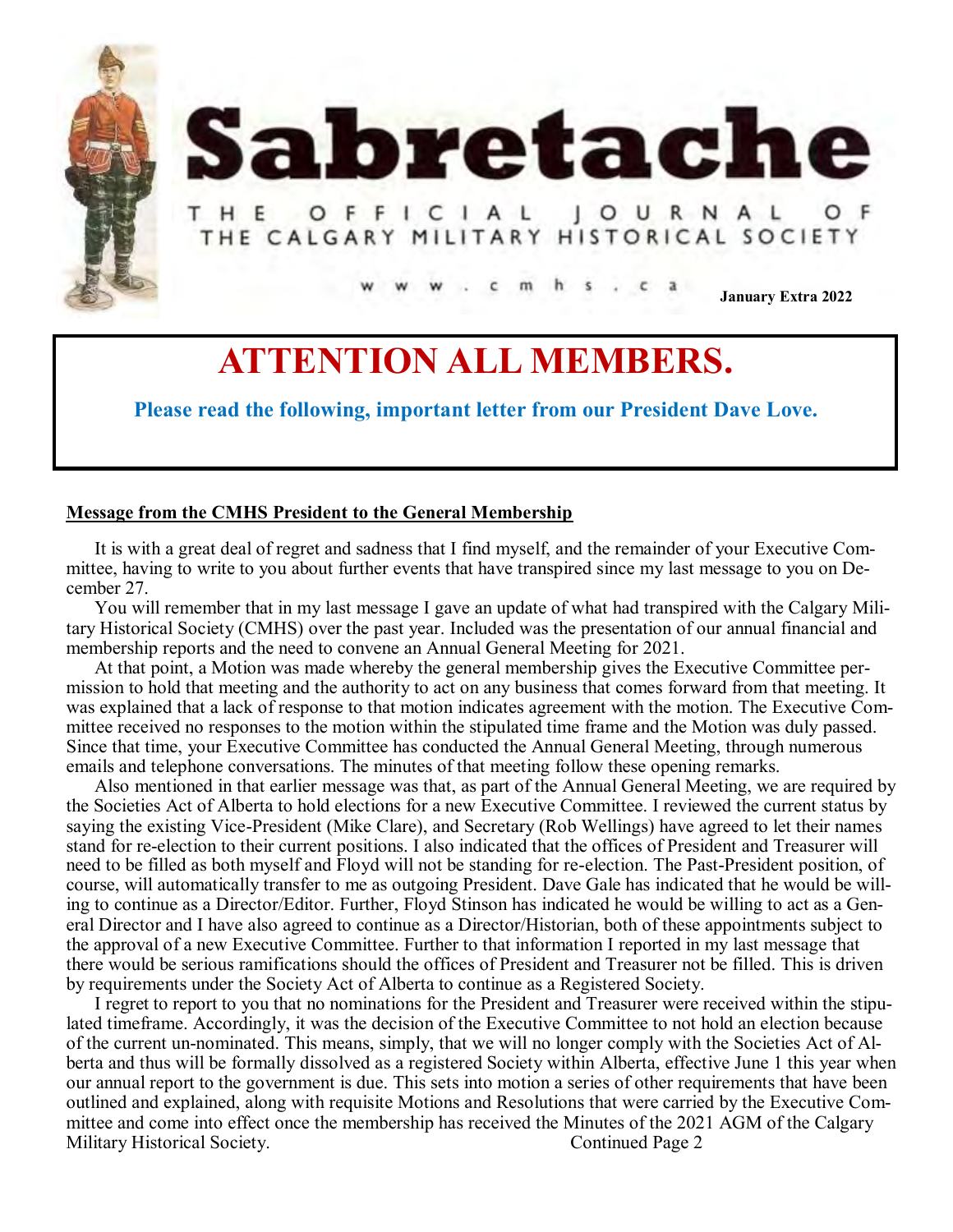



# HE OFFICIAL JOURNAL **THE CALGARY MILITARY HISTORICAL SOCIETY**

**January Extra 2022**

# **ATTENTION ALL MEMBERS.**

**Please read the following, important letter from our President Dave Love.** 

# **Message from the CMHS President to the General Membership**

It is with a great deal of regret and sadness that I find myself, and the remainder of your Executive Committee, having to write to you about further events that have transpired since my last message to you on December 27.

You will remember that in my last message I gave an update of what had transpired with the Calgary Military Historical Society (CMHS) over the past year. Included was the presentation of our annual financial and membership reports and the need to convene an Annual General Meeting for 2021.

At that point, a Motion was made whereby the general membership gives the Executive Committee permission to hold that meeting and the authority to act on any business that comes forward from that meeting. It was explained that a lack of response to that motion indicates agreement with the motion. The Executive Committee received no responses to the motion within the stipulated time frame and the Motion was duly passed. Since that time, your Executive Committee has conducted the Annual General Meeting, through numerous emails and telephone conversations. The minutes of that meeting follow these opening remarks.

Also mentioned in that earlier message was that, as part of the Annual General Meeting, we are required by the Societies Act of Alberta to hold elections for a new Executive Committee. I reviewed the current status by saying the existing Vice-President (Mike Clare), and Secretary (Rob Wellings) have agreed to let their names stand for re-election to their current positions. I also indicated that the offices of President and Treasurer will need to be filled as both myself and Floyd will not be standing for re-election. The Past-President position, of course, will automatically transfer to me as outgoing President. Dave Gale has indicated that he would be willing to continue as a Director/Editor. Further, Floyd Stinson has indicated he would be willing to act as a General Director and I have also agreed to continue as a Director/Historian, both of these appointments subject to the approval of a new Executive Committee. Further to that information I reported in my last message that there would be serious ramifications should the offices of President and Treasurer not be filled. This is driven by requirements under the Society Act of Alberta to continue as a Registered Society.

I regret to report to you that no nominations for the President and Treasurer were received within the stipulated timeframe. Accordingly, it was the decision of the Executive Committee to not hold an election because of the current un-nominated. This means, simply, that we will no longer comply with the Societies Act of Alberta and thus will be formally dissolved as a registered Society within Alberta, effective June 1 this year when our annual report to the government is due. This sets into motion a series of other requirements that have been outlined and explained, along with requisite Motions and Resolutions that were carried by the Executive Committee and come into effect once the membership has received the Minutes of the 2021 AGM of the Calgary Military Historical Society. Continued Page 2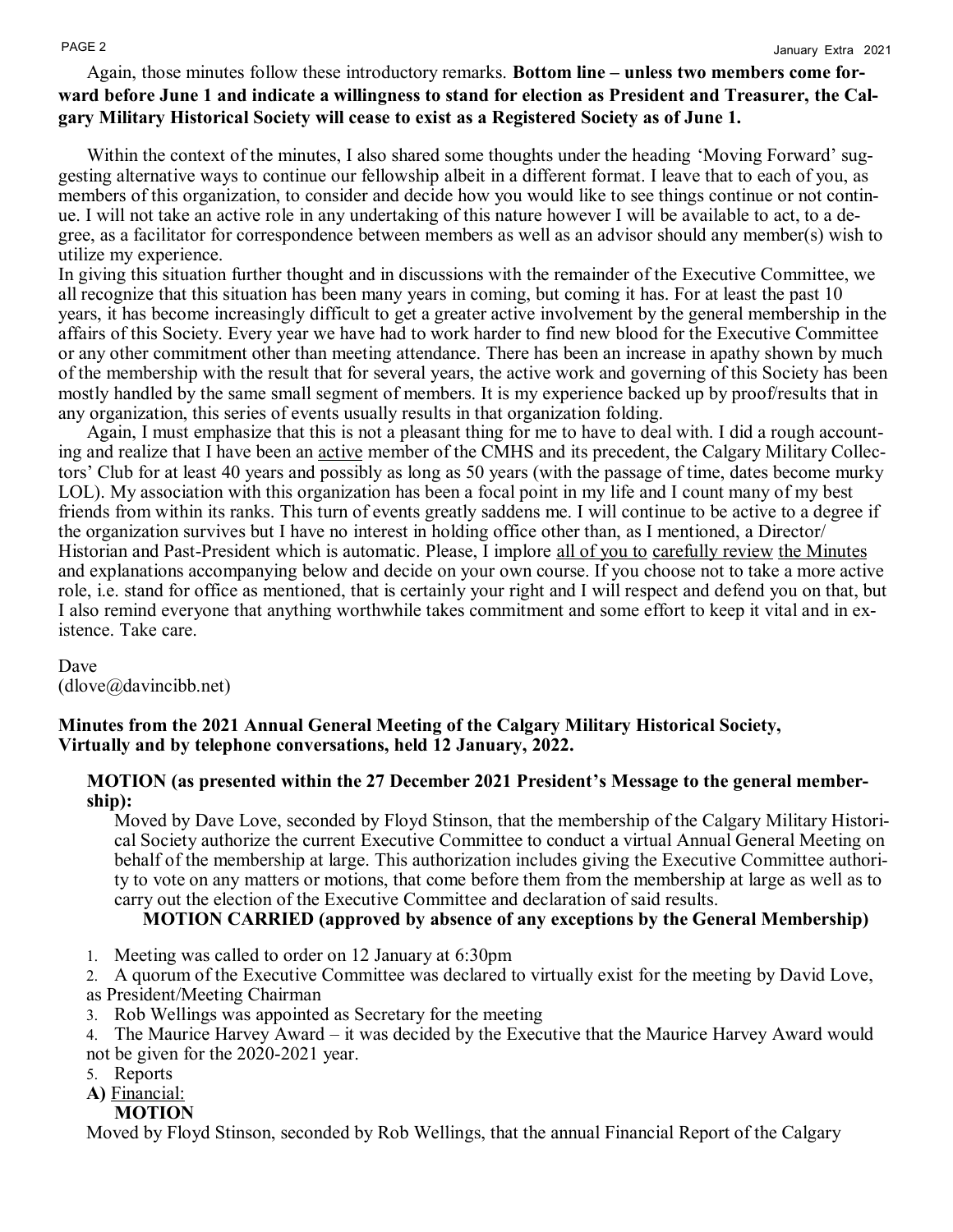# Again, those minutes follow these introductory remarks. **Bottom line – unless two members come forward before June 1 and indicate a willingness to stand for election as President and Treasurer, the Calgary Military Historical Society will cease to exist as a Registered Society as of June 1.**

Within the context of the minutes, I also shared some thoughts under the heading 'Moving Forward' suggesting alternative ways to continue our fellowship albeit in a different format. I leave that to each of you, as members of this organization, to consider and decide how you would like to see things continue or not continue. I will not take an active role in any undertaking of this nature however I will be available to act, to a degree, as a facilitator for correspondence between members as well as an advisor should any member(s) wish to utilize my experience.

In giving this situation further thought and in discussions with the remainder of the Executive Committee, we all recognize that this situation has been many years in coming, but coming it has. For at least the past 10 years, it has become increasingly difficult to get a greater active involvement by the general membership in the affairs of this Society. Every year we have had to work harder to find new blood for the Executive Committee or any other commitment other than meeting attendance. There has been an increase in apathy shown by much of the membership with the result that for several years, the active work and governing of this Society has been mostly handled by the same small segment of members. It is my experience backed up by proof/results that in any organization, this series of events usually results in that organization folding.

Again, I must emphasize that this is not a pleasant thing for me to have to deal with. I did a rough accounting and realize that I have been an active member of the CMHS and its precedent, the Calgary Military Collectors' Club for at least 40 years and possibly as long as 50 years (with the passage of time, dates become murky LOL). My association with this organization has been a focal point in my life and I count many of my best friends from within its ranks. This turn of events greatly saddens me. I will continue to be active to a degree if the organization survives but I have no interest in holding office other than, as I mentioned, a Director/ Historian and Past-President which is automatic. Please, I implore all of you to carefully review the Minutes and explanations accompanying below and decide on your own course. If you choose not to take a more active role, i.e. stand for office as mentioned, that is certainly your right and I will respect and defend you on that, but I also remind everyone that anything worthwhile takes commitment and some effort to keep it vital and in existence. Take care.

Dave (dlove@davincibb.net)

# **Minutes from the 2021 Annual General Meeting of the Calgary Military Historical Society, Virtually and by telephone conversations, held 12 January, 2022.**

## **MOTION (as presented within the 27 December 2021 President's Message to the general membership):**

Moved by Dave Love, seconded by Floyd Stinson, that the membership of the Calgary Military Historical Society authorize the current Executive Committee to conduct a virtual Annual General Meeting on behalf of the membership at large. This authorization includes giving the Executive Committee authority to vote on any matters or motions, that come before them from the membership at large as well as to carry out the election of the Executive Committee and declaration of said results.

## **MOTION CARRIED (approved by absence of any exceptions by the General Membership)**

- 1. Meeting was called to order on 12 January at 6:30pm
- 2. A quorum of the Executive Committee was declared to virtually exist for the meeting by David Love,
- as President/Meeting Chairman
- 3. Rob Wellings was appointed as Secretary for the meeting
- 4. The Maurice Harvey Award it was decided by the Executive that the Maurice Harvey Award would not be given for the 2020-2021 year.
- 5. Reports
- **A)** Financial:
	- **MOTION**

Moved by Floyd Stinson, seconded by Rob Wellings, that the annual Financial Report of the Calgary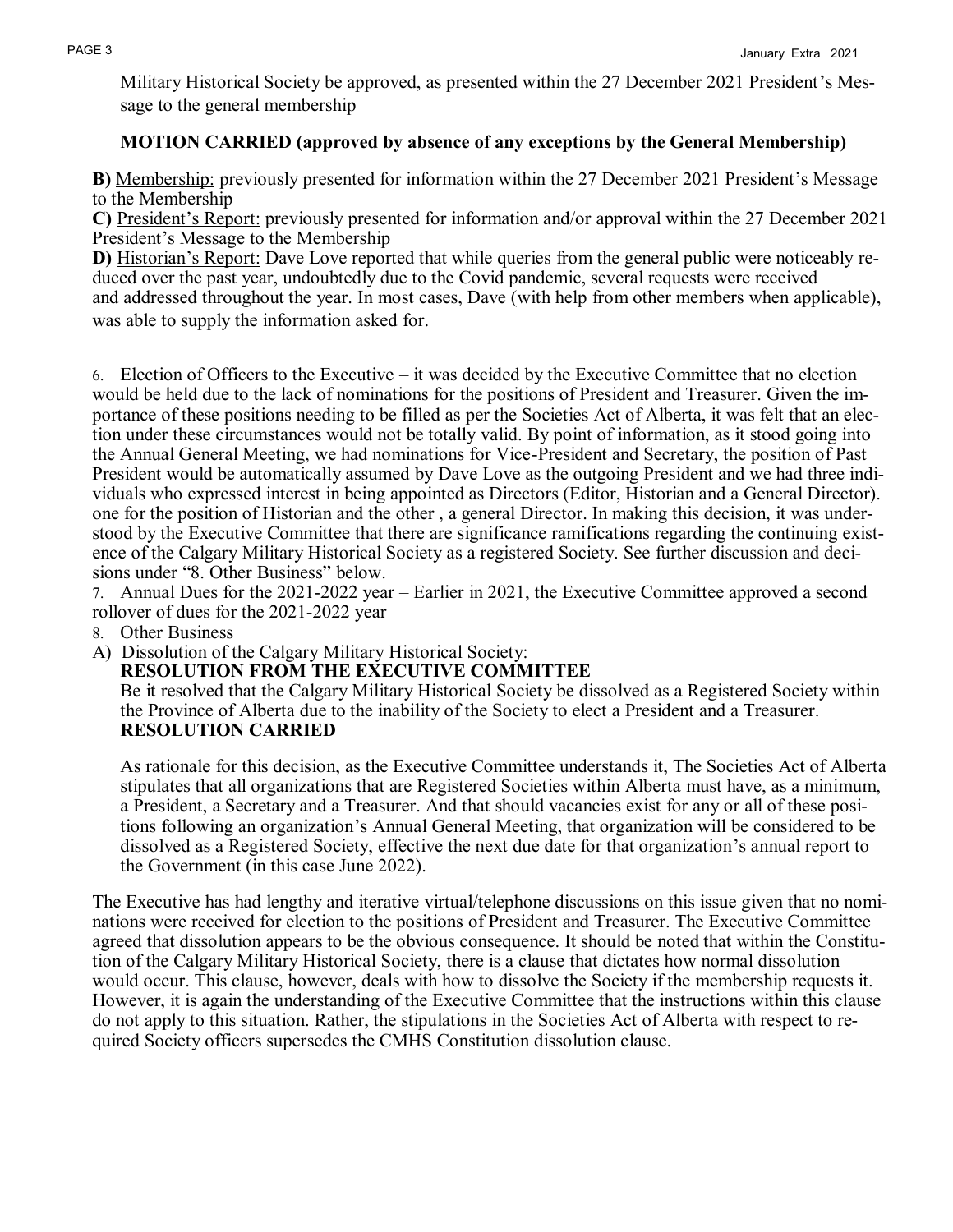Military Historical Society be approved, as presented within the 27 December 2021 President's Message to the general membership

# **MOTION CARRIED (approved by absence of any exceptions by the General Membership)**

**B)** Membership: previously presented for information within the 27 December 2021 President's Message to the Membership

**C)** President's Report: previously presented for information and/or approval within the 27 December 2021 President's Message to the Membership

**D)** Historian's Report: Dave Love reported that while queries from the general public were noticeably reduced over the past year, undoubtedly due to the Covid pandemic, several requests were received and addressed throughout the year. In most cases, Dave (with help from other members when applicable), was able to supply the information asked for.

6. Election of Officers to the Executive – it was decided by the Executive Committee that no election would be held due to the lack of nominations for the positions of President and Treasurer. Given the importance of these positions needing to be filled as per the Societies Act of Alberta, it was felt that an election under these circumstances would not be totally valid. By point of information, as it stood going into the Annual General Meeting, we had nominations for Vice-President and Secretary, the position of Past President would be automatically assumed by Dave Love as the outgoing President and we had three individuals who expressed interest in being appointed as Directors (Editor, Historian and a General Director). one for the position of Historian and the other , a general Director. In making this decision, it was understood by the Executive Committee that there are significance ramifications regarding the continuing existence of the Calgary Military Historical Society as a registered Society. See further discussion and decisions under "8. Other Business" below.

7. Annual Dues for the 2021-2022 year – Earlier in 2021, the Executive Committee approved a second rollover of dues for the 2021-2022 year

8. Other Business

A) Dissolution of the Calgary Military Historical Society:

**RESOLUTION FROM THE EXECUTIVE COMMITTEE**

Be it resolved that the Calgary Military Historical Society be dissolved as a Registered Society within the Province of Alberta due to the inability of the Society to elect a President and a Treasurer. **RESOLUTION CARRIED**

As rationale for this decision, as the Executive Committee understands it, The Societies Act of Alberta stipulates that all organizations that are Registered Societies within Alberta must have, as a minimum, a President, a Secretary and a Treasurer. And that should vacancies exist for any or all of these positions following an organization's Annual General Meeting, that organization will be considered to be dissolved as a Registered Society, effective the next due date for that organization's annual report to the Government (in this case June 2022).

The Executive has had lengthy and iterative virtual/telephone discussions on this issue given that no nominations were received for election to the positions of President and Treasurer. The Executive Committee agreed that dissolution appears to be the obvious consequence. It should be noted that within the Constitution of the Calgary Military Historical Society, there is a clause that dictates how normal dissolution would occur. This clause, however, deals with how to dissolve the Society if the membership requests it. However, it is again the understanding of the Executive Committee that the instructions within this clause do not apply to this situation. Rather, the stipulations in the Societies Act of Alberta with respect to required Society officers supersedes the CMHS Constitution dissolution clause.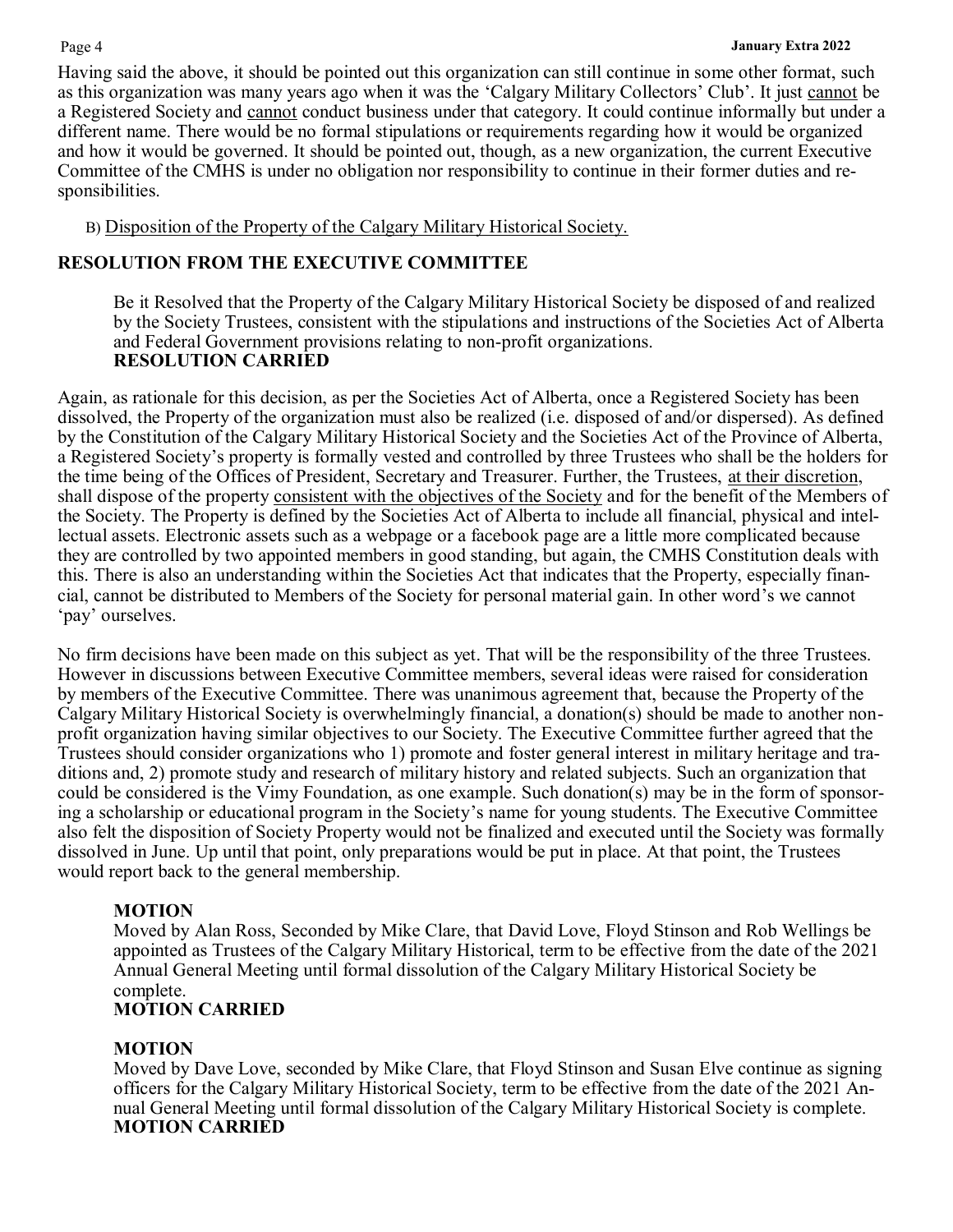Having said the above, it should be pointed out this organization can still continue in some other format, such as this organization was many years ago when it was the 'Calgary Military Collectors' Club'. It just cannot be a Registered Society and cannot conduct business under that category. It could continue informally but under a different name. There would be no formal stipulations or requirements regarding how it would be organized and how it would be governed. It should be pointed out, though, as a new organization, the current Executive Committee of the CMHS is under no obligation nor responsibility to continue in their former duties and responsibilities.

B) Disposition of the Property of the Calgary Military Historical Society.

# **RESOLUTION FROM THE EXECUTIVE COMMITTEE**

Be it Resolved that the Property of the Calgary Military Historical Society be disposed of and realized by the Society Trustees, consistent with the stipulations and instructions of the Societies Act of Alberta and Federal Government provisions relating to non-profit organizations. **RESOLUTION CARRIED**

Again, as rationale for this decision, as per the Societies Act of Alberta, once a Registered Society has been dissolved, the Property of the organization must also be realized (i.e. disposed of and/or dispersed). As defined by the Constitution of the Calgary Military Historical Society and the Societies Act of the Province of Alberta, a Registered Society's property is formally vested and controlled by three Trustees who shall be the holders for the time being of the Offices of President, Secretary and Treasurer. Further, the Trustees, at their discretion, shall dispose of the property consistent with the objectives of the Society and for the benefit of the Members of the Society. The Property is defined by the Societies Act of Alberta to include all financial, physical and intellectual assets. Electronic assets such as a webpage or a facebook page are a little more complicated because they are controlled by two appointed members in good standing, but again, the CMHS Constitution deals with this. There is also an understanding within the Societies Act that indicates that the Property, especially financial, cannot be distributed to Members of the Society for personal material gain. In other word's we cannot 'pay' ourselves.

No firm decisions have been made on this subject as yet. That will be the responsibility of the three Trustees. However in discussions between Executive Committee members, several ideas were raised for consideration by members of the Executive Committee. There was unanimous agreement that, because the Property of the Calgary Military Historical Society is overwhelmingly financial, a donation(s) should be made to another nonprofit organization having similar objectives to our Society. The Executive Committee further agreed that the Trustees should consider organizations who 1) promote and foster general interest in military heritage and traditions and, 2) promote study and research of military history and related subjects. Such an organization that could be considered is the Vimy Foundation, as one example. Such donation(s) may be in the form of sponsoring a scholarship or educational program in the Society's name for young students. The Executive Committee also felt the disposition of Society Property would not be finalized and executed until the Society was formally dissolved in June. Up until that point, only preparations would be put in place. At that point, the Trustees would report back to the general membership.

# **MOTION**

Moved by Alan Ross, Seconded by Mike Clare, that David Love, Floyd Stinson and Rob Wellings be appointed as Trustees of the Calgary Military Historical, term to be effective from the date of the 2021 Annual General Meeting until formal dissolution of the Calgary Military Historical Society be complete.

# **MOTION CARRIED**

# **MOTION**

Moved by Dave Love, seconded by Mike Clare, that Floyd Stinson and Susan Elve continue as signing officers for the Calgary Military Historical Society, term to be effective from the date of the 2021 Annual General Meeting until formal dissolution of the Calgary Military Historical Society is complete. **MOTION CARRIED**